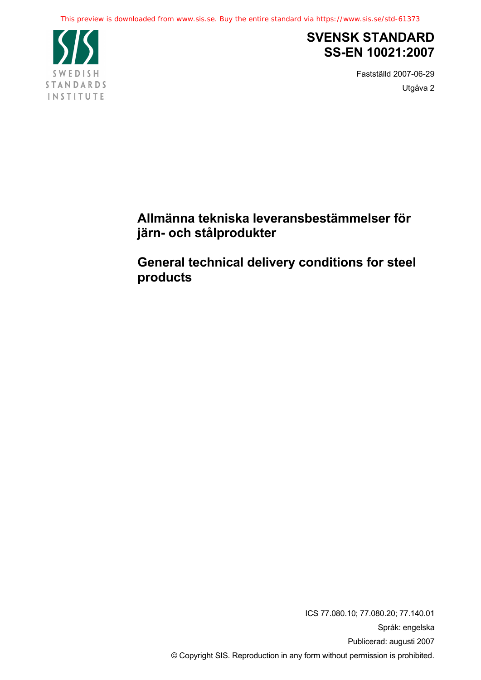

# **SVENSK STANDARD SS-EN 10021:2007**

Fastställd 2007-06-29 Utgåva 2

**Allmänna tekniska leveransbestämmelser för järn- och stålprodukter** 

**General technical delivery conditions for steel products**

> ICS 77.080.10; 77.080.20; 77.140.01 Språk: engelska Publicerad: augusti 2007 © Copyright SIS. Reproduction in any form without permission is prohibited.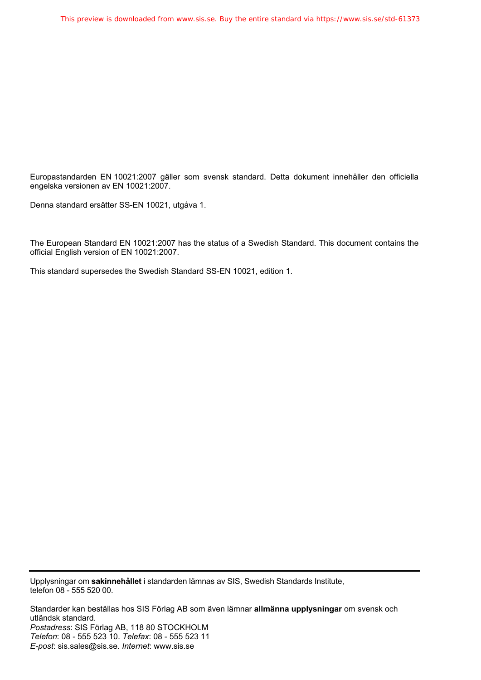Europastandarden EN 10021:2007 gäller som svensk standard. Detta dokument innehåller den officiella engelska versionen av EN 10021:2007.

Denna standard ersätter SS-EN 10021, utgåva 1.

The European Standard EN 10021:2007 has the status of a Swedish Standard. This document contains the official English version of EN 10021:2007.

This standard supersedes the Swedish Standard SS-EN 10021, edition 1.

Upplysningar om **sakinnehållet** i standarden lämnas av SIS, Swedish Standards Institute, telefon 08 - 555 520 00.

Standarder kan beställas hos SIS Förlag AB som även lämnar **allmänna upplysningar** om svensk och utländsk standard. *Postadress*: SIS Förlag AB, 118 80 STOCKHOLM *Telefon*: 08 - 555 523 10. *Telefax*: 08 - 555 523 11 *E-post*: sis.sales@sis.se. *Internet*: www.sis.se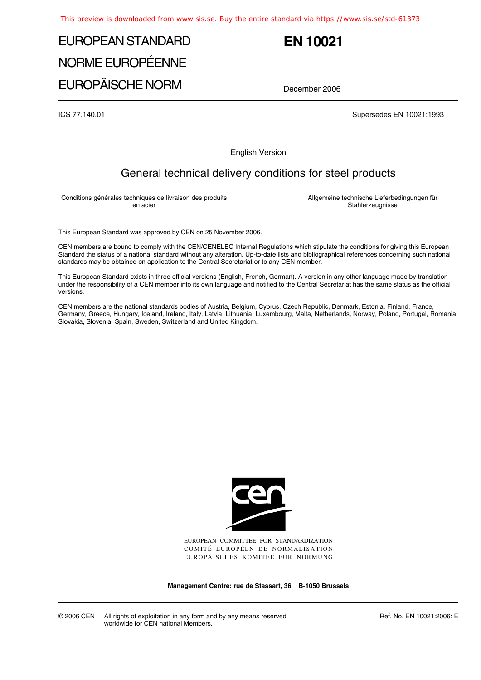# EUROPEAN STANDARD NORME EUROPÉENNE

# **EN 10021**

EUROPÄISCHE NORM

December 2006

ICS 77.140.01 Supersedes EN 10021:1993

English Version

# General technical delivery conditions for steel products

Conditions générales techniques de livraison des produits en acier

Allgemeine technische Lieferbedingungen für Stahlerzeugnisse

This European Standard was approved by CEN on 25 November 2006.

CEN members are bound to comply with the CEN/CENELEC Internal Regulations which stipulate the conditions for giving this European Standard the status of a national standard without any alteration. Up-to-date lists and bibliographical references concerning such national standards may be obtained on application to the Central Secretariat or to any CEN member.

This European Standard exists in three official versions (English, French, German). A version in any other language made by translation under the responsibility of a CEN member into its own language and notified to the Central Secretariat has the same status as the official versions.

CEN members are the national standards bodies of Austria, Belgium, Cyprus, Czech Republic, Denmark, Estonia, Finland, France, Germany, Greece, Hungary, Iceland, Ireland, Italy, Latvia, Lithuania, Luxembourg, Malta, Netherlands, Norway, Poland, Portugal, Romania, Slovakia, Slovenia, Spain, Sweden, Switzerland and United Kingdom.



EUROPEAN COMMITTEE FOR STANDARDIZATION COMITÉ EUROPÉEN DE NORMALISATION EUROPÄISCHES KOMITEE FÜR NORMUNG

**Management Centre: rue de Stassart, 36 B-1050 Brussels**

© 2006 CEN All rights of exploitation in any form and by any means reserved worldwide for CEN national Members.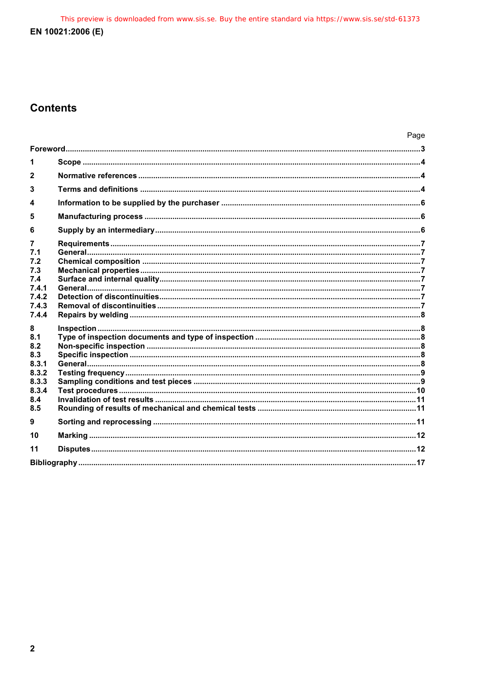This preview is downloaded from www.sis.se. Buy the entire standard via https://www.sis.se/std-61373 EN 10021:2006 (E)

# **Contents**

|                  |  | Page |
|------------------|--|------|
|                  |  |      |
|                  |  |      |
| $\mathbf{2}$     |  |      |
| 3                |  |      |
| $\boldsymbol{4}$ |  |      |
| 5                |  |      |
| 6                |  |      |
| 7                |  |      |
| 7.1              |  |      |
| 7.2              |  |      |
| 7.3              |  |      |
| 7.4              |  |      |
| 7.4.1            |  |      |
| 7.4.2            |  |      |
| 7.4.3            |  |      |
| 7.4.4            |  |      |
| 8                |  |      |
| 8.1              |  |      |
| 8.2              |  |      |
| 8.3              |  |      |
| 8.3.1            |  |      |
| 8.3.2            |  |      |
| 8.3.3            |  |      |
| 8.3.4            |  |      |
| 8.4              |  |      |
| 8.5              |  |      |
| 9                |  |      |
| 10               |  |      |
| 11               |  |      |
|                  |  |      |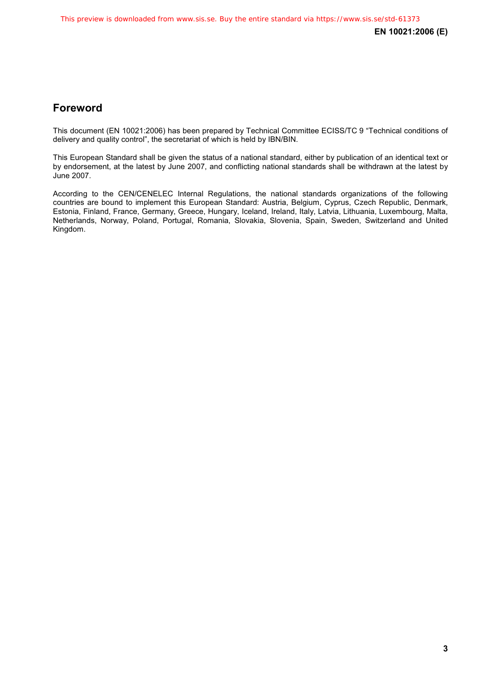# **Foreword**

This document (EN 10021:2006) has been prepared by Technical Committee ECISS/TC 9 "Technical conditions of delivery and quality control", the secretariat of which is held by IBN/BIN.

This European Standard shall be given the status of a national standard, either by publication of an identical text or by endorsement, at the latest by June 2007, and conflicting national standards shall be withdrawn at the latest by June 2007.

According to the CEN/CENELEC Internal Regulations, the national standards organizations of the following countries are bound to implement this European Standard: Austria, Belgium, Cyprus, Czech Republic, Denmark, Estonia, Finland, France, Germany, Greece, Hungary, Iceland, Ireland, Italy, Latvia, Lithuania, Luxembourg, Malta, Netherlands, Norway, Poland, Portugal, Romania, Slovakia, Slovenia, Spain, Sweden, Switzerland and United Kingdom.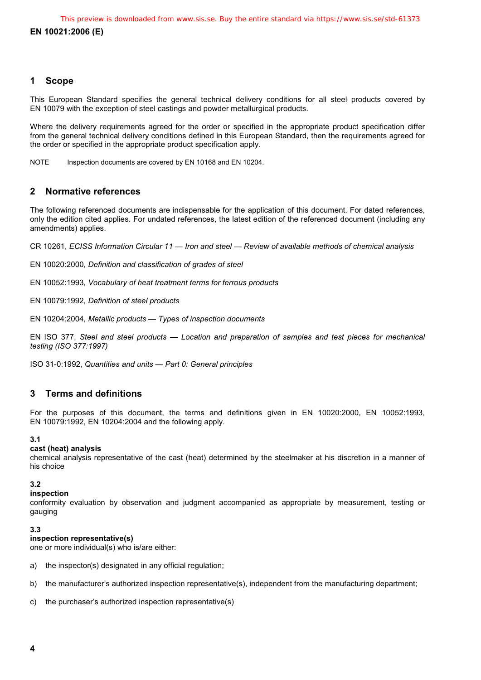### **1 Scope**

This European Standard specifies the general technical delivery conditions for all steel products covered by EN 10079 with the exception of steel castings and powder metallurgical products.

Where the delivery requirements agreed for the order or specified in the appropriate product specification differ from the general technical delivery conditions defined in this European Standard, then the requirements agreed for the order or specified in the appropriate product specification apply.

NOTE Inspection documents are covered by EN 10168 and EN 10204.

### **2 Normative references**

The following referenced documents are indispensable for the application of this document. For dated references, only the edition cited applies. For undated references, the latest edition of the referenced document (including any amendments) applies.

CR 10261, *ECISS Information Circular 11 — Iron and steel — Review of available methods of chemical analysis*

EN 10020:2000, *Definition and classification of grades of steel*

EN 10052:1993, *Vocabulary of heat treatment terms for ferrous products*

EN 10079:1992, *Definition of steel products* 

EN 10204:2004, *Metallic products — Types of inspection documents*

EN ISO 377, *Steel and steel products — Location and preparation of samples and test pieces for mechanical testing (ISO 377:1997)* 

ISO 31-0:1992, *Quantities and units — Part 0: General principles*

### **3 Terms and definitions**

For the purposes of this document, the terms and definitions given in EN 10020:2000, EN 10052:1993, EN 10079:1992, EN 10204:2004 and the following apply.

#### **3.1**

#### **cast (heat) analysis**

chemical analysis representative of the cast (heat) determined by the steelmaker at his discretion in a manner of his choice

#### **3.2**

#### **inspection**

conformity evaluation by observation and judgment accompanied as appropriate by measurement, testing or gauging

#### **3.3**

#### **inspection representative(s)**

one or more individual(s) who is/are either:

- a) the inspector(s) designated in any official regulation;
- b) the manufacturer's authorized inspection representative(s), independent from the manufacturing department;
- c) the purchaser's authorized inspection representative(s)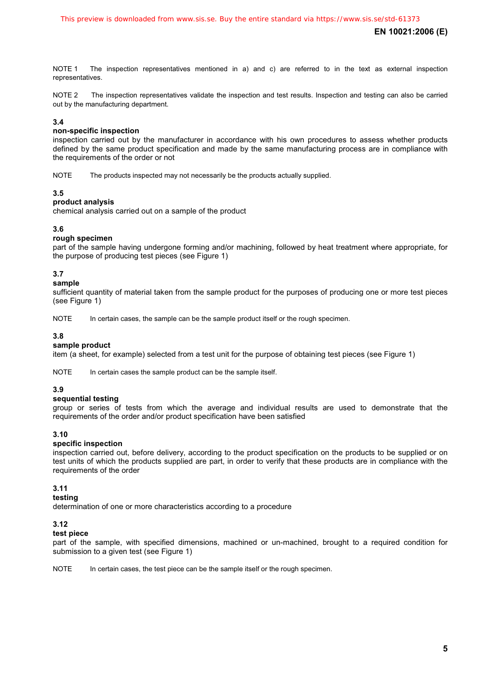NOTE 1 The inspection representatives mentioned in a) and c) are referred to in the text as external inspection representatives.

NOTE 2 The inspection representatives validate the inspection and test results. Inspection and testing can also be carried out by the manufacturing department.

#### **3.4**

#### **non-specific inspection**

inspection carried out by the manufacturer in accordance with his own procedures to assess whether products defined by the same product specification and made by the same manufacturing process are in compliance with the requirements of the order or not

NOTE The products inspected may not necessarily be the products actually supplied.

#### **3.5**

#### **product analysis**

chemical analysis carried out on a sample of the product

#### **3.6**

#### **rough specimen**

part of the sample having undergone forming and/or machining, followed by heat treatment where appropriate, for the purpose of producing test pieces (see Figure 1)

#### **3.7**

#### **sample**

sufficient quantity of material taken from the sample product for the purposes of producing one or more test pieces (see Figure 1)

NOTE In certain cases, the sample can be the sample product itself or the rough specimen.

#### **3.8**

#### **sample product**

item (a sheet, for example) selected from a test unit for the purpose of obtaining test pieces (see Figure 1)

NOTE In certain cases the sample product can be the sample itself.

#### **3.9**

#### **sequential testing**

group or series of tests from which the average and individual results are used to demonstrate that the requirements of the order and/or product specification have been satisfied

#### **3.10**

#### **specific inspection**

inspection carried out, before delivery, according to the product specification on the products to be supplied or on test units of which the products supplied are part, in order to verify that these products are in compliance with the requirements of the order

#### **3.11**

#### **testing**

determination of one or more characteristics according to a procedure

#### **3.12**

#### **test piece**

part of the sample, with specified dimensions, machined or un-machined, brought to a required condition for submission to a given test (see Figure 1)

NOTE In certain cases, the test piece can be the sample itself or the rough specimen.